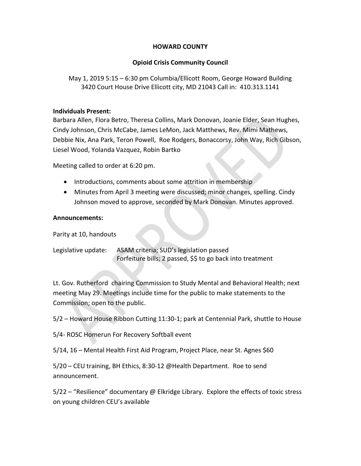# HOWARD COUNTY

# Opioid Crisis Community Council

May 1, 2019 5:15 – 6:30 pm Columbia/Ellicott Room, George Howard Building 3420 Court House Drive Ellicott city, MD 21043 Call in: 410.313.1141

## Individuals Present:

Barbara Allen, Flora Betro, Theresa Collins, Mark Donovan, Joanie Elder, Sean Hughes, Cindy Johnson, Chris McCabe, James LeMon, Jack Matthews, Rev. Mimi Mathews, Debbie Nix, Ana Park, Teron Powell, Roe Rodgers, Bonaccorsy, John Way, Rich Gibson, Liesel Wood, Yolanda Vazquez, Robin Bartko

Meeting called to order at 6:20 pm.

- Introductions, comments about some attrition in membership
- Minutes from April 3 meeting were discussed; minor changes, spelling. Cindy Johnson moved to approve, seconded by Mark Donovan. Minutes approved.

## Announcements:

Parity at 10, handouts

Legislative update: ASAM criteria; SUD's legislation passed Forfeiture bills; 2 passed, \$\$ to go back into treatment

Lt. Gov. Rutherford chairing Commission to Study Mental and Behavioral Health; next meeting May 29. Meetings include time for the public to make statements to the Commission; open to the public.

5/2 – Howard House Ribbon Cutting 11:30-1; park at Centennial Park, shuttle to House

5/4- ROSC Homerun For Recovery Softball event

5/14, 16 – Mental Health First Aid Program, Project Place, near St. Agnes \$60

5/20 – CEU training, BH Ethics, 8:30-12 @Health Department. Roe to send announcement.

5/22 – "Resilience" documentary @ Elkridge Library. Explore the effects of toxic stress on young children CEU's available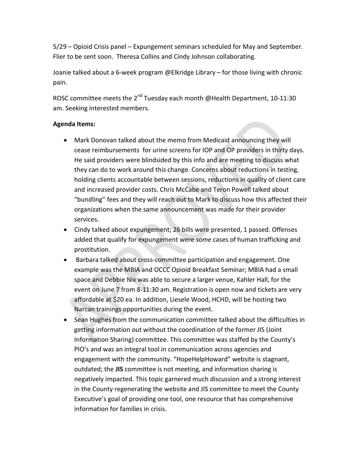5/29 – Opioid Crisis panel – Expungement seminars scheduled for May and September. Flier to be sent soon. Theresa Collins and Cindy Johnson collaborating.

Joanie talked about a 6-week program @Elkridge Library – for those living with chronic pain.

ROSC committee meets the 2<sup>nd</sup> Tuesday each month @Health Department, 10-11:30 am. Seeking interested members.

# Agenda Items:

- Mark Donovan talked about the memo from Medicaid announcing they will cease reimbursements for urine screens for IOP and OP providers in thirty days. He said providers were blindsided by this info and are meeting to discuss what they can do to work around this change. Concerns about reductions in testing, holding clients accountable between sessions, reductions in quality of client care and increased provider costs. Chris McCabe and Teron Powell talked about "bundling" fees and they will reach out to Mark to discuss how this affected their organizations when the same announcement was made for their provider services.
- Cindy talked about expungement; 26 bills were presented, 1 passed. Offenses added that qualify for expungement were some cases of human trafficking and prostitution.
- Barbara talked about cross-committee participation and engagement. One example was the MBIA and OCCC Opioid Breakfast Seminar; MBIA had a small space and Debbie Nix was able to secure a larger venue, Kahler Hall, for the event on June 7 from 8-11:30 am. Registration is open now and tickets are very affordable at \$20 ea. In addition, Liesele Wood, HCHD, will be hosting two Narcan trainings opportunities during the event.
- Sean Hughes from the communication committee talked about the difficulties in getting information out without the coordination of the former JIS (Joint Information Sharing) committee. This committee was staffed by the County's PIO's and was an integral tool in communication across agencies and engagement with the community. "HopeHelpHoward" website is stagnant, outdated; the JIS committee is not meeting, and information sharing is negatively impacted. This topic garnered much discussion and a strong interest in the County regenerating the website and JIS committee to meet the County Executive's goal of providing one tool, one resource that has comprehensive information for families in crisis.